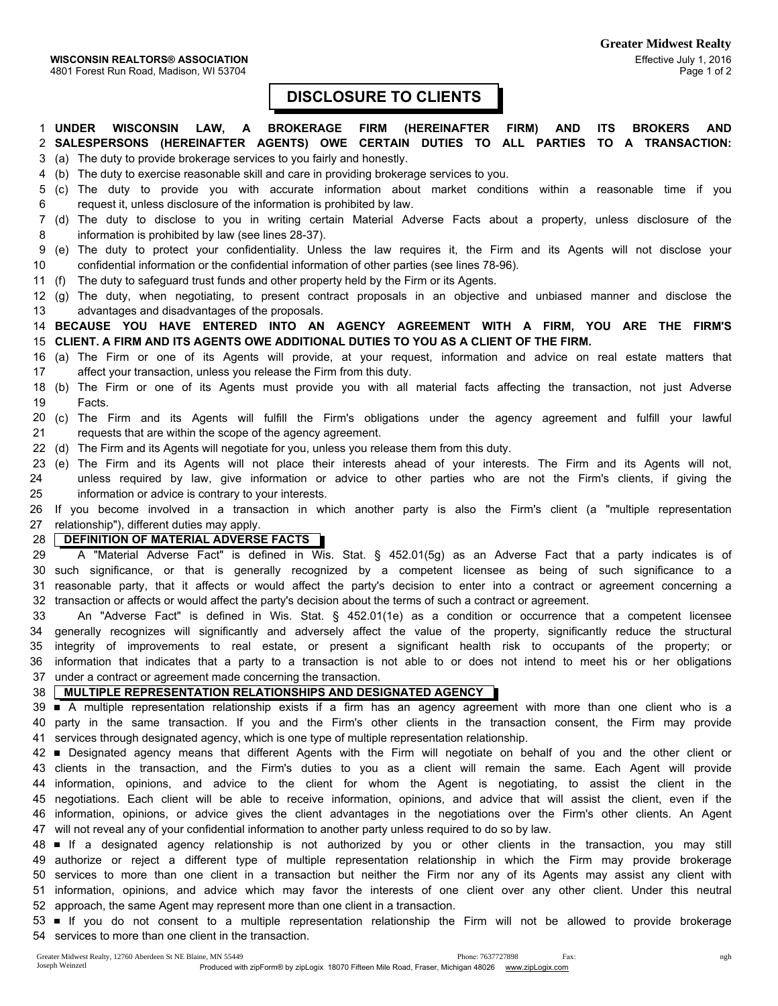## DISCLOSURE TO CLIENTS

1 UNDER WISCONSIN LAW, A BROKERAGE FIRM (HEREINAFTER FIRM) AND ITS BROKERS AND 2 SALESPERSONS (HEREINAFTER AGENTS) OWE CERTAIN DUTIES TO ALL PARTIES TO A TRANSACTION: 3 (a) The duty to provide brokerage services to you fairly and honestly.

4 (b) The duty to exercise reasonable skill and care in providing brokerage services to you.

- 5 (c) The duty to provide you with accurate information about market conditions within a reasonable time if you 6 request it, unless disclosure of the information is prohibited by law.
- 7 (d) The duty to disclose to you in writing certain Material Adverse Facts about a property, unless disclosure of the 8 information is prohibited by law (see lines 28-37).
- 9 (e) The duty to protect your confidentiality. Unless the law requires it, the Firm and its Agents will not disclose your 10 confidential information or the confidential information of other parties (see lines 78-96).
- 11 (f) The duty to safeguard trust funds and other property held by the Firm or its Agents.
- 12 (g) The duty, when negotiating, to present contract proposals in an objective and unbiased manner and disclose the 13 advantages and disadvantages of the proposals.

14 BECAUSE YOU HAVE ENTERED INTO AN AGENCY AGREEMENT WITH A FIRM, YOU ARE THE FIRM'S 15 CLIENT. A FIRM AND ITS AGENTS OWE ADDITIONAL DUTIES TO YOU AS A CLIENT OF THE FIRM.

- 16 (a) The Firm or one of its Agents will provide, at your request, information and advice on real estate matters that 17 affect your transaction, unless you release the Firm from this duty.
- 18 (b) The Firm or one of its Agents must provide you with all material facts affecting the transaction, not just Adverse 19 Facts.
- 20 (c) The Firm and its Agents will fulfill the Firm's obligations under the agency agreement and fulfill your lawful 21 requests that are within the scope of the agency agreement.
- 22 (d) The Firm and its Agents will negotiate for you, unless you release them from this duty.
- 23 (e) The Firm and its Agents will not place their interests ahead of your interests. The Firm and its Agents will not, 24 unless required by law, give information or advice to other parties who are not the Firm's clients, if giving the 25 information or advice is contrary to your interests.

26 If you become involved in a transaction in which another party is also the Firm's client (a "multiple representation 27 relationship"), different duties may apply.

## 28 **DEFINITION OF MATERIAL ADVERSE FACTS**

29 A "Material Adverse Fact" is defined in Wis. Stat. § 452.01(5g) as an Adverse Fact that a party indicates is of 30 such significance, or that is generally recognized by a competent licensee as being of such significance to a 31 reasonable party, that it affects or would affect the party's decision to enter into a contract or agreement concerning a 32 transaction or affects or would affect the party's decision about the terms of such a contract or agreement.

33 An "Adverse Fact" is defined in Wis. Stat. § 452.01(1e) as a condition or occurrence that a competent licensee 34 generally recognizes will significantly and adversely affect the value of the property, significantly reduce the structural 35 integrity of improvements to real estate, or present a significant health risk to occupants of the property; or 36 information that indicates that a party to a transaction is not able to or does not intend to meet his or her obligations 37 under a contract or agreement made concerning the transaction.

## 38 MULTIPLE REPRESENTATION RELATIONSHIPS AND DESIGNATED AGENCY

39 A multiple representation relationship exists if a firm has an agency agreement with more than one client who is a 40 party in the same transaction. If you and the Firm's other clients in the transaction consent, the Firm may provide 41 services through designated agency, which is one type of multiple representation relationship.

42 Designated agency means that different Agents with the Firm will negotiate on behalf of you and the other client or 43 clients in the transaction, and the Firm's duties to you as a client will remain the same. Each Agent will provide 44 information, opinions, and advice to the client for whom the Agent is negotiating, to assist the client in the 45 negotiations. Each client will be able to receive information, opinions, and advice that will assist the client, even if the 46 information, opinions, or advice gives the client advantages in the negotiations over the Firm's other clients. An Agent 47 will not reveal any of your confidential information to another party unless required to do so by law.

48 **■** If a designated agency relationship is not authorized by you or other clients in the transaction, you may still 49 authorize or reject a different type of multiple representation relationship in which the Firm may provide brokerage 50 services to more than one client in a transaction but neither the Firm nor any of its Agents may assist any client with 51 information, opinions, and advice which may favor the interests of one client over any other client. Under this neutral 52 approach, the same Agent may represent more than one client in a transaction.

53 ■ If you do not consent to a multiple representation relationship the Firm will not be allowed to provide brokerage 54 services to more than one client in the transaction.